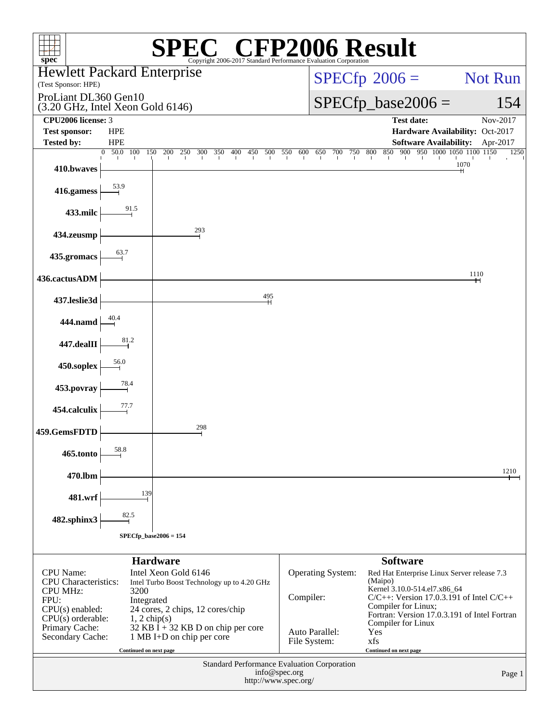| spec <sup>®</sup>                                                                                                                                              | Copyright 2006-2017 Standard Performance Evaluation Corporation                                                                                                                            |                                | $\mathbb{C}^{\scriptscriptstyle \otimes}$ CFP2006 Result                                                                                                                                                                                                |                                             |  |
|----------------------------------------------------------------------------------------------------------------------------------------------------------------|--------------------------------------------------------------------------------------------------------------------------------------------------------------------------------------------|--------------------------------|---------------------------------------------------------------------------------------------------------------------------------------------------------------------------------------------------------------------------------------------------------|---------------------------------------------|--|
| <b>Hewlett Packard Enterprise</b>                                                                                                                              |                                                                                                                                                                                            |                                | $SPECfp^{\circ}2006 =$                                                                                                                                                                                                                                  | Not Run                                     |  |
| (Test Sponsor: HPE)<br>ProLiant DL360 Gen10<br>(3.20 GHz, Intel Xeon Gold 6146)                                                                                |                                                                                                                                                                                            |                                | $SPECfp\_base2006 =$                                                                                                                                                                                                                                    | 154                                         |  |
| CPU2006 license: 3                                                                                                                                             |                                                                                                                                                                                            |                                | <b>Test date:</b>                                                                                                                                                                                                                                       | Nov-2017                                    |  |
| <b>Test sponsor:</b><br><b>HPE</b><br><b>Tested by:</b><br><b>HPE</b>                                                                                          |                                                                                                                                                                                            |                                | <b>Software Availability:</b>                                                                                                                                                                                                                           | Hardware Availability: Oct-2017<br>Apr-2017 |  |
| $50.0 \quad 100$<br>$\Omega$<br>410.bwaves                                                                                                                     | 150<br>200<br>250<br>300<br>350<br>400<br>450<br>500                                                                                                                                       | 550<br>600<br>650              | 900 950 1000 1050 1100 1150<br>800<br>850<br>700<br>750                                                                                                                                                                                                 | 1250<br>1070                                |  |
| 53.9<br>416.gamess                                                                                                                                             |                                                                                                                                                                                            |                                |                                                                                                                                                                                                                                                         |                                             |  |
| 91.5<br>433.milc                                                                                                                                               |                                                                                                                                                                                            |                                |                                                                                                                                                                                                                                                         |                                             |  |
| 434.zeusmp                                                                                                                                                     | 293                                                                                                                                                                                        |                                |                                                                                                                                                                                                                                                         |                                             |  |
| 63.7<br>435.gromacs                                                                                                                                            |                                                                                                                                                                                            |                                |                                                                                                                                                                                                                                                         |                                             |  |
| 436.cactusADM                                                                                                                                                  |                                                                                                                                                                                            |                                |                                                                                                                                                                                                                                                         | 1110                                        |  |
| 437.leslie3d                                                                                                                                                   | 495                                                                                                                                                                                        |                                |                                                                                                                                                                                                                                                         |                                             |  |
| 444.namd                                                                                                                                                       |                                                                                                                                                                                            |                                |                                                                                                                                                                                                                                                         |                                             |  |
| 81.2<br>447.dealII                                                                                                                                             |                                                                                                                                                                                            |                                |                                                                                                                                                                                                                                                         |                                             |  |
| 56.0<br>450.soplex                                                                                                                                             |                                                                                                                                                                                            |                                |                                                                                                                                                                                                                                                         |                                             |  |
| 78.4<br>453.povray                                                                                                                                             |                                                                                                                                                                                            |                                |                                                                                                                                                                                                                                                         |                                             |  |
| 77.7<br>454.calculix                                                                                                                                           |                                                                                                                                                                                            |                                |                                                                                                                                                                                                                                                         |                                             |  |
| 459.GemsFDTD                                                                                                                                                   | 298                                                                                                                                                                                        |                                |                                                                                                                                                                                                                                                         |                                             |  |
| 58.8<br>465.tonto                                                                                                                                              |                                                                                                                                                                                            |                                |                                                                                                                                                                                                                                                         |                                             |  |
| 470.lbm                                                                                                                                                        |                                                                                                                                                                                            |                                |                                                                                                                                                                                                                                                         | 1210                                        |  |
| 139<br>481.wrf<br>82.5                                                                                                                                         |                                                                                                                                                                                            |                                |                                                                                                                                                                                                                                                         |                                             |  |
| 482.sphinx3                                                                                                                                                    | $SPECfp\_base2006 = 154$                                                                                                                                                                   |                                |                                                                                                                                                                                                                                                         |                                             |  |
|                                                                                                                                                                |                                                                                                                                                                                            |                                |                                                                                                                                                                                                                                                         |                                             |  |
| <b>CPU</b> Name:<br><b>CPU</b> Characteristics:<br><b>CPU MHz:</b><br>3200<br>FPU:<br>Integrated<br>$CPU(s)$ enabled:<br>$CPU(s)$ orderable:<br>Primary Cache: | <b>Hardware</b><br>Intel Xeon Gold 6146<br>Intel Turbo Boost Technology up to 4.20 GHz<br>24 cores, 2 chips, 12 cores/chip<br>$1, 2$ chip(s)<br>32 KB $\bar{I}$ + 32 KB D on chip per core | Operating System:<br>Compiler: | <b>Software</b><br>Red Hat Enterprise Linux Server release 7.3<br>(Maipo)<br>Kernel 3.10.0-514.el7.x86_64<br>$C/C++$ : Version 17.0.3.191 of Intel $C/C++$<br>Compiler for Linux;<br>Fortran: Version 17.0.3.191 of Intel Fortran<br>Compiler for Linux |                                             |  |
| Secondary Cache:<br>Continued on next page                                                                                                                     | 1 MB I+D on chip per core                                                                                                                                                                  | Auto Parallel:<br>File System: | Yes<br>xfs<br>Continued on next page                                                                                                                                                                                                                    |                                             |  |
| Standard Performance Evaluation Corporation<br>info@spec.org<br>Page 1<br>http://www.spec.org/                                                                 |                                                                                                                                                                                            |                                |                                                                                                                                                                                                                                                         |                                             |  |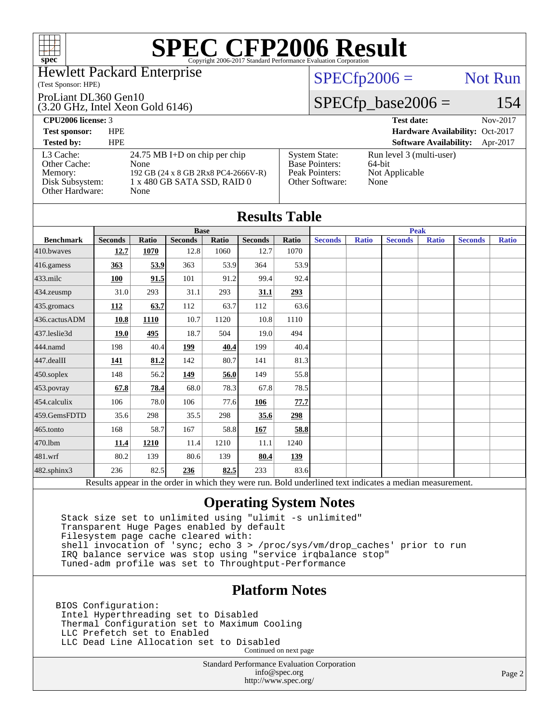

#### Hewlett Packard Enterprise

#### (Test Sponsor: HPE)

ProLiant DL360 Gen10

#### (3.20 GHz, Intel Xeon Gold 6146)

### $SPECfp2006 =$  Not Run

### $SPECfp\_base2006 = 154$

**[CPU2006 license:](http://www.spec.org/auto/cpu2006/Docs/result-fields.html#CPU2006license)** 3 **[Test date:](http://www.spec.org/auto/cpu2006/Docs/result-fields.html#Testdate)** Nov-2017 **[Test sponsor:](http://www.spec.org/auto/cpu2006/Docs/result-fields.html#Testsponsor)** HPE **[Hardware Availability:](http://www.spec.org/auto/cpu2006/Docs/result-fields.html#HardwareAvailability)** Oct-2017 **[Tested by:](http://www.spec.org/auto/cpu2006/Docs/result-fields.html#Testedby)** HPE **[Software Availability:](http://www.spec.org/auto/cpu2006/Docs/result-fields.html#SoftwareAvailability)** Apr-2017 [L3 Cache:](http://www.spec.org/auto/cpu2006/Docs/result-fields.html#L3Cache) 24.75 MB I+D on chip per chip<br>Other Cache: None [Other Cache:](http://www.spec.org/auto/cpu2006/Docs/result-fields.html#OtherCache) [Memory:](http://www.spec.org/auto/cpu2006/Docs/result-fields.html#Memory) 192 GB (24 x 8 GB 2Rx8 PC4-2666V-R) [Disk Subsystem:](http://www.spec.org/auto/cpu2006/Docs/result-fields.html#DiskSubsystem) 1 x 480 GB SATA SSD, RAID 0 [Other Hardware:](http://www.spec.org/auto/cpu2006/Docs/result-fields.html#OtherHardware) None [System State:](http://www.spec.org/auto/cpu2006/Docs/result-fields.html#SystemState) Run level 3 (multi-user)<br>Base Pointers: 64-bit [Base Pointers:](http://www.spec.org/auto/cpu2006/Docs/result-fields.html#BasePointers) [Peak Pointers:](http://www.spec.org/auto/cpu2006/Docs/result-fields.html#PeakPointers) Not Applicable [Other Software:](http://www.spec.org/auto/cpu2006/Docs/result-fields.html#OtherSoftware) None

| <b>Results Table</b> |                |              |                |       |                |             |                |              |                                                                                                          |              |                |              |
|----------------------|----------------|--------------|----------------|-------|----------------|-------------|----------------|--------------|----------------------------------------------------------------------------------------------------------|--------------|----------------|--------------|
|                      | <b>Base</b>    |              |                |       |                | <b>Peak</b> |                |              |                                                                                                          |              |                |              |
| <b>Benchmark</b>     | <b>Seconds</b> | <b>Ratio</b> | <b>Seconds</b> | Ratio | <b>Seconds</b> | Ratio       | <b>Seconds</b> | <b>Ratio</b> | <b>Seconds</b>                                                                                           | <b>Ratio</b> | <b>Seconds</b> | <b>Ratio</b> |
| 410.bwayes           | 12.7           | 1070         | 12.8           | 1060  | 12.7           | 1070        |                |              |                                                                                                          |              |                |              |
| 416.gamess           | 363            | 53.9         | 363            | 53.9  | 364            | 53.9        |                |              |                                                                                                          |              |                |              |
| $433$ .milc          | 100            | 91.5         | 101            | 91.2  | 99.4           | 92.4        |                |              |                                                                                                          |              |                |              |
| $434$ . zeusmp       | 31.0           | 293          | 31.1           | 293   | 31.1           | 293         |                |              |                                                                                                          |              |                |              |
| 435.gromacs          | <b>112</b>     | 63.7         | 112            | 63.7  | 112            | 63.6        |                |              |                                                                                                          |              |                |              |
| 436.cactusADM        | 10.8           | 1110         | 10.7           | 1120  | 10.8           | 1110        |                |              |                                                                                                          |              |                |              |
| 437.leslie3d         | 19.0           | 495          | 18.7           | 504   | 19.0           | 494         |                |              |                                                                                                          |              |                |              |
| 444.namd             | 198            | 40.4         | 199            | 40.4  | 199            | 40.4        |                |              |                                                                                                          |              |                |              |
| $447$ .dealII        | 141            | 81.2         | 142            | 80.7  | 141            | 81.3        |                |              |                                                                                                          |              |                |              |
| $450$ .soplex        | 148            | 56.2         | 149            | 56.0  | 149            | 55.8        |                |              |                                                                                                          |              |                |              |
| 453.povray           | 67.8           | 78.4         | 68.0           | 78.3  | 67.8           | 78.5        |                |              |                                                                                                          |              |                |              |
| 454.calculix         | 106            | 78.0         | 106            | 77.6  | 106            | 77.7        |                |              |                                                                                                          |              |                |              |
| 459.GemsFDTD         | 35.6           | 298          | 35.5           | 298   | 35.6           | 298         |                |              |                                                                                                          |              |                |              |
| $465$ .tonto         | 168            | 58.7         | 167            | 58.8  | 167            | 58.8        |                |              |                                                                                                          |              |                |              |
| 470.1bm              | 11.4           | 1210         | 11.4           | 1210  | 11.1           | 1240        |                |              |                                                                                                          |              |                |              |
| 481.wrf              | 80.2           | 139          | 80.6           | 139   | 80.4           | 139         |                |              |                                                                                                          |              |                |              |
| $482$ .sphinx $3$    | 236            | 82.5         | 236            | 82.5  | 233            | 83.6        |                |              |                                                                                                          |              |                |              |
|                      |                |              |                |       |                |             |                |              | Results appear in the order in which they were run. Bold underlined text indicates a median measurement. |              |                |              |

### **[Operating System Notes](http://www.spec.org/auto/cpu2006/Docs/result-fields.html#OperatingSystemNotes)**

 Stack size set to unlimited using "ulimit -s unlimited" Transparent Huge Pages enabled by default Filesystem page cache cleared with: shell invocation of 'sync; echo 3 > /proc/sys/vm/drop\_caches' prior to run IRQ balance service was stop using "service irqbalance stop" Tuned-adm profile was set to Throughtput-Performance

### **[Platform Notes](http://www.spec.org/auto/cpu2006/Docs/result-fields.html#PlatformNotes)**

BIOS Configuration: Intel Hyperthreading set to Disabled Thermal Configuration set to Maximum Cooling LLC Prefetch set to Enabled LLC Dead Line Allocation set to Disabled Continued on next page

> Standard Performance Evaluation Corporation [info@spec.org](mailto:info@spec.org) <http://www.spec.org/>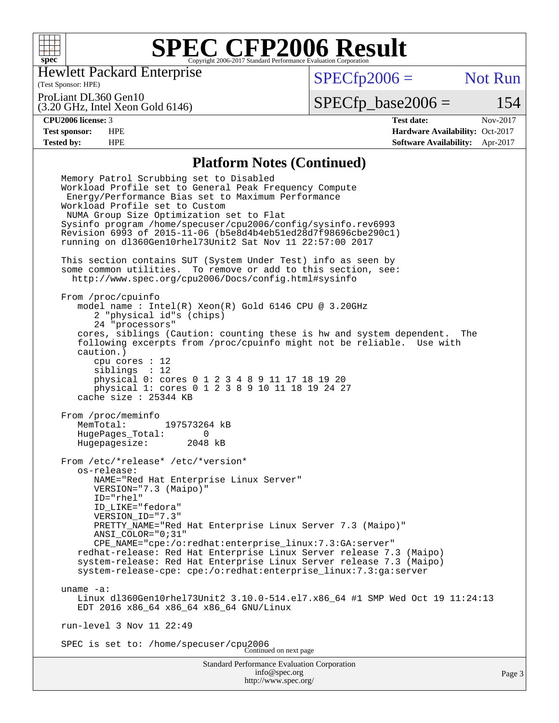

Hewlett Packard Enterprise

(Test Sponsor: HPE)

 $SPECfp2006 =$  Not Run

ProLiant DL360 Gen10

(3.20 GHz, Intel Xeon Gold 6146)

 $SPECTp\_base2006 = 154$ 

**[CPU2006 license:](http://www.spec.org/auto/cpu2006/Docs/result-fields.html#CPU2006license)** 3 **[Test date:](http://www.spec.org/auto/cpu2006/Docs/result-fields.html#Testdate)** Nov-2017 **[Test sponsor:](http://www.spec.org/auto/cpu2006/Docs/result-fields.html#Testsponsor)** HPE **[Hardware Availability:](http://www.spec.org/auto/cpu2006/Docs/result-fields.html#HardwareAvailability)** Oct-2017 **[Tested by:](http://www.spec.org/auto/cpu2006/Docs/result-fields.html#Testedby)** HPE **[Software Availability:](http://www.spec.org/auto/cpu2006/Docs/result-fields.html#SoftwareAvailability)** Apr-2017

#### **[Platform Notes \(Continued\)](http://www.spec.org/auto/cpu2006/Docs/result-fields.html#PlatformNotes)**

Standard Performance Evaluation Corporation [info@spec.org](mailto:info@spec.org) <http://www.spec.org/> Page 3 Memory Patrol Scrubbing set to Disabled Workload Profile set to General Peak Frequency Compute Energy/Performance Bias set to Maximum Performance Workload Profile set to Custom NUMA Group Size Optimization set to Flat Sysinfo program /home/specuser/cpu2006/config/sysinfo.rev6993 Revision 6993 of 2015-11-06 (b5e8d4b4eb51ed28d7f98696cbe290c1) running on dl360Gen10rhel73Unit2 Sat Nov 11 22:57:00 2017 This section contains SUT (System Under Test) info as seen by some common utilities. To remove or add to this section, see: <http://www.spec.org/cpu2006/Docs/config.html#sysinfo> From /proc/cpuinfo model name : Intel(R) Xeon(R) Gold 6146 CPU @ 3.20GHz 2 "physical id"s (chips) 24 "processors" cores, siblings (Caution: counting these is hw and system dependent. The following excerpts from /proc/cpuinfo might not be reliable. Use with caution.) cpu cores : 12 siblings : 12 physical 0: cores 0 1 2 3 4 8 9 11 17 18 19 20 physical 1: cores 0 1 2 3 8 9 10 11 18 19 24 27 cache size : 25344 KB From /proc/meminfo<br>MemTotal: 197573264 kB MemTotal: HugePages\_Total: 0 Hugepagesize: 2048 kB From /etc/\*release\* /etc/\*version\* os-release: NAME="Red Hat Enterprise Linux Server" VERSION="7.3 (Maipo)" ID="rhel" ID\_LIKE="fedora" VERSION\_ID="7.3" PRETTY\_NAME="Red Hat Enterprise Linux Server 7.3 (Maipo)" ANSI\_COLOR="0;31" CPE\_NAME="cpe:/o:redhat:enterprise\_linux:7.3:GA:server" redhat-release: Red Hat Enterprise Linux Server release 7.3 (Maipo) system-release: Red Hat Enterprise Linux Server release 7.3 (Maipo) system-release-cpe: cpe:/o:redhat:enterprise\_linux:7.3:ga:server uname -a: Linux dl360Gen10rhel73Unit2 3.10.0-514.el7.x86\_64 #1 SMP Wed Oct 19 11:24:13 EDT 2016 x86\_64 x86\_64 x86\_64 GNU/Linux run-level 3 Nov 11 22:49 SPEC is set to: /home/specuser/cpu2006 Continued on next page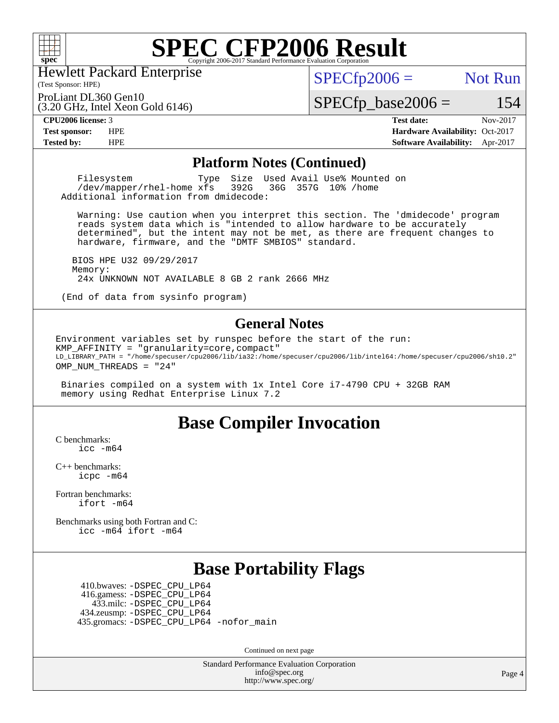

Hewlett Packard Enterprise

(3.20 GHz, Intel Xeon Gold 6146)

(Test Sponsor: HPE)

 $SPECTp2006 =$  Not Run

ProLiant DL360 Gen10

 $SPECfp\_base2006 = 154$ 

**[CPU2006 license:](http://www.spec.org/auto/cpu2006/Docs/result-fields.html#CPU2006license)** 3 **[Test date:](http://www.spec.org/auto/cpu2006/Docs/result-fields.html#Testdate)** Nov-2017 **[Test sponsor:](http://www.spec.org/auto/cpu2006/Docs/result-fields.html#Testsponsor)** HPE **[Hardware Availability:](http://www.spec.org/auto/cpu2006/Docs/result-fields.html#HardwareAvailability)** Oct-2017 **[Tested by:](http://www.spec.org/auto/cpu2006/Docs/result-fields.html#Testedby)** HPE **[Software Availability:](http://www.spec.org/auto/cpu2006/Docs/result-fields.html#SoftwareAvailability)** Apr-2017

#### **[Platform Notes \(Continued\)](http://www.spec.org/auto/cpu2006/Docs/result-fields.html#PlatformNotes)**

Filesystem Type Size Used Avail Use% Mounted on<br>
/dev/mapper/rhel-home xfs 392G 36G 357G 10% /home  $/$ dev/mapper/rhel-home  $xf s$ Additional information from dmidecode:

 Warning: Use caution when you interpret this section. The 'dmidecode' program reads system data which is "intended to allow hardware to be accurately determined", but the intent may not be met, as there are frequent changes to hardware, firmware, and the "DMTF SMBIOS" standard.

 BIOS HPE U32 09/29/2017 Memory: 24x UNKNOWN NOT AVAILABLE 8 GB 2 rank 2666 MHz

(End of data from sysinfo program)

#### **[General Notes](http://www.spec.org/auto/cpu2006/Docs/result-fields.html#GeneralNotes)**

Environment variables set by runspec before the start of the run: KMP\_AFFINITY = "granularity=core,compact" LD\_LIBRARY\_PATH = "/home/specuser/cpu2006/lib/ia32:/home/specuser/cpu2006/lib/intel64:/home/specuser/cpu2006/sh10.2" OMP\_NUM\_THREADS = "24"

 Binaries compiled on a system with 1x Intel Core i7-4790 CPU + 32GB RAM memory using Redhat Enterprise Linux 7.2

## **[Base Compiler Invocation](http://www.spec.org/auto/cpu2006/Docs/result-fields.html#BaseCompilerInvocation)**

[C benchmarks](http://www.spec.org/auto/cpu2006/Docs/result-fields.html#Cbenchmarks): [icc -m64](http://www.spec.org/cpu2006/results/res2017q4/cpu2006-20171114-50628.flags.html#user_CCbase_intel_icc_64bit_bda6cc9af1fdbb0edc3795bac97ada53)

[C++ benchmarks:](http://www.spec.org/auto/cpu2006/Docs/result-fields.html#CXXbenchmarks) [icpc -m64](http://www.spec.org/cpu2006/results/res2017q4/cpu2006-20171114-50628.flags.html#user_CXXbase_intel_icpc_64bit_fc66a5337ce925472a5c54ad6a0de310)

[Fortran benchmarks](http://www.spec.org/auto/cpu2006/Docs/result-fields.html#Fortranbenchmarks): [ifort -m64](http://www.spec.org/cpu2006/results/res2017q4/cpu2006-20171114-50628.flags.html#user_FCbase_intel_ifort_64bit_ee9d0fb25645d0210d97eb0527dcc06e)

[Benchmarks using both Fortran and C](http://www.spec.org/auto/cpu2006/Docs/result-fields.html#BenchmarksusingbothFortranandC): [icc -m64](http://www.spec.org/cpu2006/results/res2017q4/cpu2006-20171114-50628.flags.html#user_CC_FCbase_intel_icc_64bit_bda6cc9af1fdbb0edc3795bac97ada53) [ifort -m64](http://www.spec.org/cpu2006/results/res2017q4/cpu2006-20171114-50628.flags.html#user_CC_FCbase_intel_ifort_64bit_ee9d0fb25645d0210d97eb0527dcc06e)

## **[Base Portability Flags](http://www.spec.org/auto/cpu2006/Docs/result-fields.html#BasePortabilityFlags)**

 410.bwaves: [-DSPEC\\_CPU\\_LP64](http://www.spec.org/cpu2006/results/res2017q4/cpu2006-20171114-50628.flags.html#suite_basePORTABILITY410_bwaves_DSPEC_CPU_LP64) 416.gamess: [-DSPEC\\_CPU\\_LP64](http://www.spec.org/cpu2006/results/res2017q4/cpu2006-20171114-50628.flags.html#suite_basePORTABILITY416_gamess_DSPEC_CPU_LP64) 433.milc: [-DSPEC\\_CPU\\_LP64](http://www.spec.org/cpu2006/results/res2017q4/cpu2006-20171114-50628.flags.html#suite_basePORTABILITY433_milc_DSPEC_CPU_LP64) 434.zeusmp: [-DSPEC\\_CPU\\_LP64](http://www.spec.org/cpu2006/results/res2017q4/cpu2006-20171114-50628.flags.html#suite_basePORTABILITY434_zeusmp_DSPEC_CPU_LP64) 435.gromacs: [-DSPEC\\_CPU\\_LP64](http://www.spec.org/cpu2006/results/res2017q4/cpu2006-20171114-50628.flags.html#suite_basePORTABILITY435_gromacs_DSPEC_CPU_LP64) [-nofor\\_main](http://www.spec.org/cpu2006/results/res2017q4/cpu2006-20171114-50628.flags.html#user_baseLDPORTABILITY435_gromacs_f-nofor_main)

Continued on next page

Standard Performance Evaluation Corporation [info@spec.org](mailto:info@spec.org) <http://www.spec.org/>